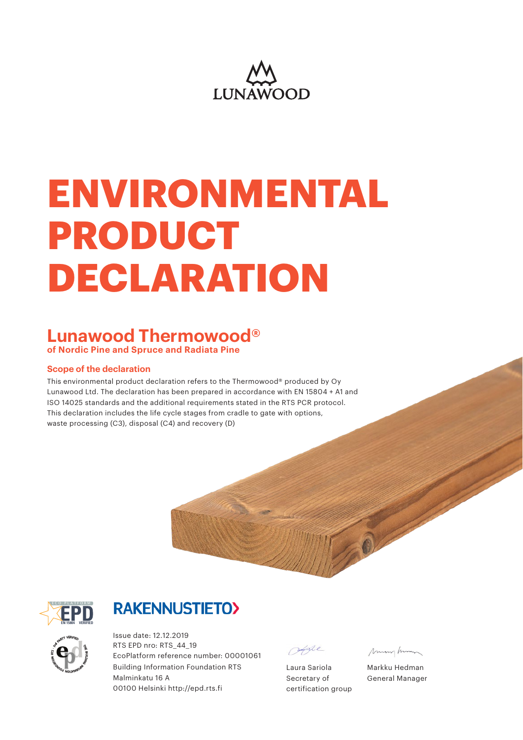

# **ENVIRONMENTAL PRODUCT DECLARATION**

#### **Lunawood Thermowood® of Nordic Pine and Spruce and Radiata Pine**

#### **Scope of the declaration**

This environmental product declaration refers to the Thermowood® produced by Oy Lunawood Ltd. The declaration has been prepared in accordance with EN 15804 + A1 and ISO 14025 standards and the additional requirements stated in the RTS PCR protocol. This declaration includes the life cycle stages from cradle to gate with options, waste processing (C3), disposal (C4) and recovery (D)



ep artist VERIFIED THE BUT LIKE A REAL PROPERTY AREA <sup>O</sup>Y NOUV UNDATION

### **RAKENNUSTIETO>**

Issue date: 12.12.2019 RTS EPD nro: RTS\_44\_19 EcoPlatform reference number: 00001061 Building Information Foundation RTS Malminkatu 16 A 00100 Helsinki http://epd.rts.fi

seppe

Laura Sariola Secretary of certification group

Munghim

Markku Hedman General Manager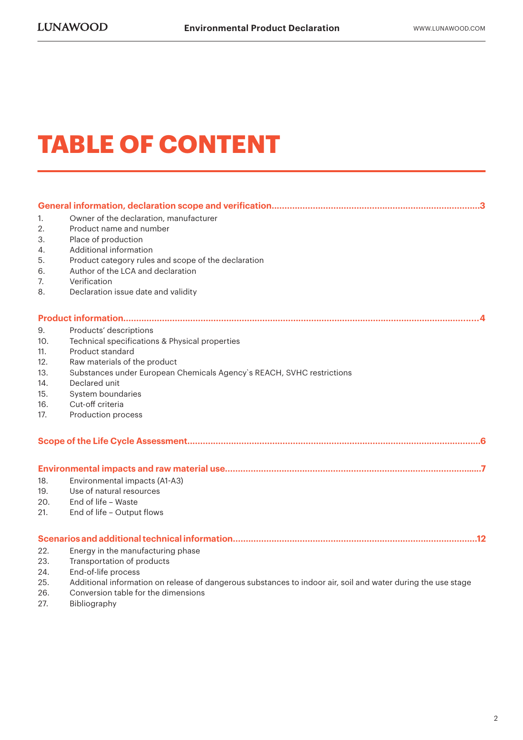### **TABLE OF CONTENT**

| 1.  | Owner of the declaration, manufacturer                                                                       |
|-----|--------------------------------------------------------------------------------------------------------------|
| 2.  | Product name and number                                                                                      |
| 3.  | Place of production                                                                                          |
| 4.  | Additional information                                                                                       |
| 5.  | Product category rules and scope of the declaration                                                          |
| 6.  | Author of the LCA and declaration                                                                            |
| 7.  | Verification                                                                                                 |
| 8.  | Declaration issue date and validity                                                                          |
|     |                                                                                                              |
| 9.  | Products' descriptions                                                                                       |
| 10. | Technical specifications & Physical properties                                                               |
| 11. | Product standard                                                                                             |
| 12. | Raw materials of the product                                                                                 |
| 13. | Substances under European Chemicals Agency's REACH, SVHC restrictions                                        |
| 14. | Declared unit                                                                                                |
| 15. | System boundaries                                                                                            |
| 16. | Cut-off criteria                                                                                             |
| 17. | Production process                                                                                           |
|     |                                                                                                              |
|     |                                                                                                              |
| 18. | Environmental impacts (A1-A3)                                                                                |
| 19. | Use of natural resources                                                                                     |
| 20. | End of life - Waste                                                                                          |
| 21. | End of life - Output flows                                                                                   |
|     |                                                                                                              |
| 22. | Energy in the manufacturing phase                                                                            |
| 23. | Transportation of products                                                                                   |
| 24. | End-of-life process                                                                                          |
| 25. | Additional information on release of dangerous substances to indoor air, soil and water during the use stage |
|     |                                                                                                              |

- 26. Conversion table for the dimensions
- 27. Bibliography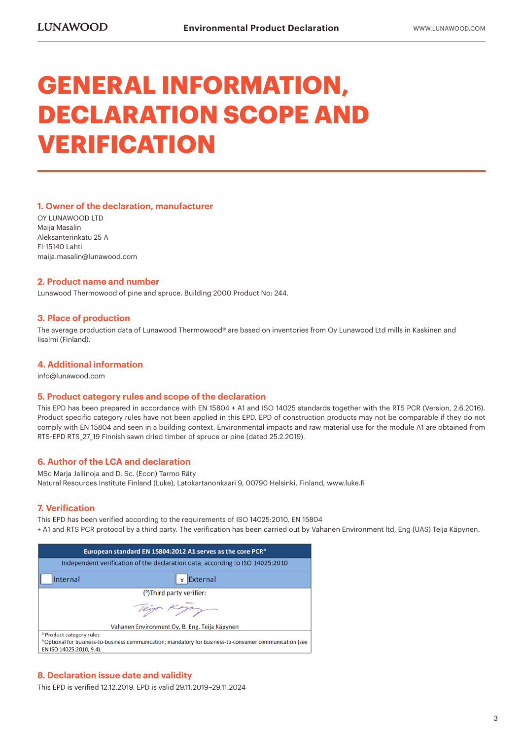### **GENERAL INFORMATION, DECLARATION SCOPE AND VERIFICATION**

#### **1. Owner of the declaration, manufacturer**

OY LUNAWOOD LTD Maija Masalin Aleksanterinkatu 25 A FI-15140 Lahti maija.masalin@lunawood.com

#### **2. Product name and number**

Lunawood Thermowood of pine and spruce. Building 2000 Product No: 244.

#### **3. Place of production**

The average production data of Lunawood Thermowood® are based on inventories from Oy Lunawood Ltd mills in Kaskinen and Iisalmi (Finland).

#### **4. Additional information**

info@lunawood.com

#### **5. Product category rules and scope of the declaration**

This EPD has been prepared in accordance with EN 15804 + A1 and ISO 14025 standards together with the RTS PCR (Version, 2.6.2016). Product specific category rules have not been applied in this EPD. EPD of construction products may not be comparable if they do not comply with EN 15804 and seen in a building context. Environmental impacts and raw material use for the module A1 are obtained from RTS-EPD RTS 27 19 Finnish sawn dried timber of spruce or pine (dated 25.2.2019).

#### **6. Author of the LCA and declaration**

MSc Marja Jallinoja and D. Sc. (Econ) Tarmo Räty Natural Resources Institute Finland (Luke), Latokartanonkaari 9, 00790 Helsinki, Finland, www.luke.fi

#### **7. Verification**

This EPD has been verified according to the requirements of ISO 14025:2010, EN 15804 + A1 and RTS PCR protocol by a third party. The verification has been carried out by Vahanen Environment ltd, Eng (UAS) Teija Käpynen.

| European standard EN 15804:2012 A1 serves as the core PCR <sup>a</sup>                                                                                                                 |                                               |  |  |  |  |  |  |  |
|----------------------------------------------------------------------------------------------------------------------------------------------------------------------------------------|-----------------------------------------------|--|--|--|--|--|--|--|
| Independent verification of the declaration data, according to ISO 14025:2010                                                                                                          |                                               |  |  |  |  |  |  |  |
| Internal                                                                                                                                                                               | <b>x</b> External                             |  |  |  |  |  |  |  |
| (b)Third party verifier:                                                                                                                                                               |                                               |  |  |  |  |  |  |  |
|                                                                                                                                                                                        |                                               |  |  |  |  |  |  |  |
|                                                                                                                                                                                        | Vahanen Environment Oy, B. Eng. Teija Käpynen |  |  |  |  |  |  |  |
| <sup>a</sup> Product category rules<br><sup>b</sup> Optional for business-to-business communication; mandatory for business-to-consumer communication (see<br>EN ISO 14025:2010, 9.4). |                                               |  |  |  |  |  |  |  |

#### **8. Declaration issue date and validity**

This EPD is verified 12.12.2019. EPD is valid 29.11.2019–29.11.2024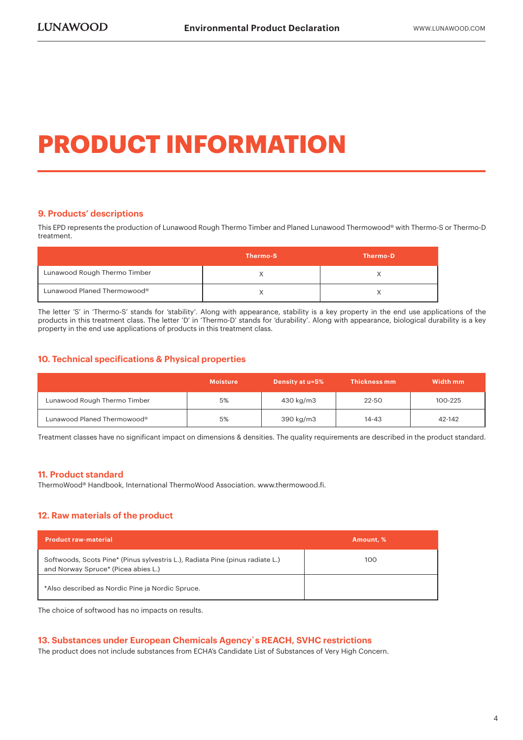### **PRODUCT INFORMATION**

#### **9. Products' descriptions**

This EPD represents the production of Lunawood Rough Thermo Timber and Planed Lunawood Thermowood® with Thermo-S or Thermo-D treatment.

|                              | Thermo-S | Thermo-D |
|------------------------------|----------|----------|
| Lunawood Rough Thermo Timber |          |          |
| Lunawood Planed Thermowood®  |          |          |

The letter 'S' in 'Thermo-S' stands for 'stability'. Along with appearance, stability is a key property in the end use applications of the products in this treatment class. The letter 'D' in 'Thermo-D' stands for 'durability'. Along with appearance, biological durability is a key property in the end use applications of products in this treatment class.

#### **10. Technical specifications & Physical properties**

|                              | <b>Moisture</b> | <b>Density at u=5%</b> | <b>Thickness mm</b> | Width mm |
|------------------------------|-----------------|------------------------|---------------------|----------|
| Lunawood Rough Thermo Timber | 5%              | 430 kg/m3              | 22-50               | 100-225  |
| Lunawood Planed Thermowood®  | 5%              | 390 kg/m3              | 14-43               | 42-142   |

Treatment classes have no significant impact on dimensions & densities. The quality requirements are described in the product standard.

#### **11. Product standard**

ThermoWood® Handbook, International ThermoWood Association. www.thermowood.fi.

#### **12. Raw materials of the product**

| <b>Product raw-material</b>                                                                                          | Amount. % |
|----------------------------------------------------------------------------------------------------------------------|-----------|
| Softwoods, Scots Pine* (Pinus sylvestris L.), Radiata Pine (pinus radiate L.)<br>and Norway Spruce* (Picea abies L.) | 100       |
| *Also described as Nordic Pine ja Nordic Spruce.                                                                     |           |

The choice of softwood has no impacts on results.

#### **13. Substances under European Chemicals Agency`s REACH, SVHC restrictions**

The product does not include substances from ECHA's Candidate List of Substances of Very High Concern.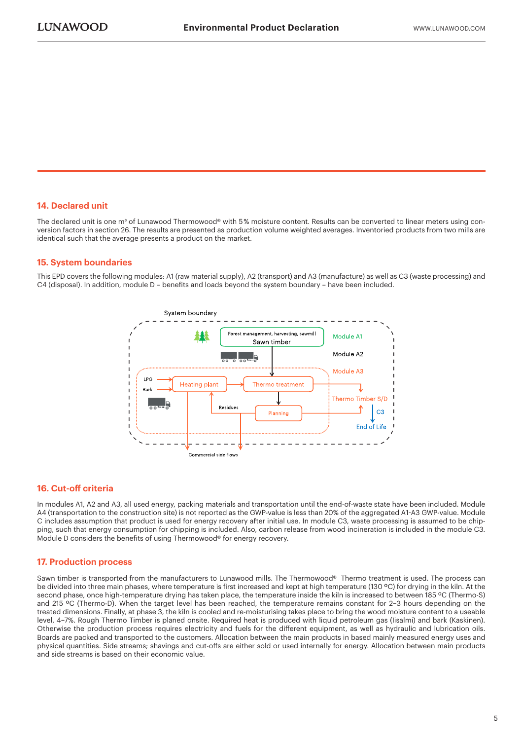#### **14. Declared unit**

The declared unit is one m<sup>3</sup> of Lunawood Thermowood® with 5% moisture content. Results can be converted to linear meters using conversion factors in section 26. The results are presented as production volume weighted averages. Inventoried products from two mills are identical such that the average presents a product on the market.

#### **15. System boundaries**

This EPD covers the following modules: A1 (raw material supply), A2 (transport) and A3 (manufacture) as well as C3 (waste processing) and C4 (disposal). In addition, module D – benefits and loads beyond the system boundary – have been included.



#### **16. Cut-off criteria**

In modules A1, A2 and A3, all used energy, packing materials and transportation until the end-of-waste state have been included. Module A4 (transportation to the construction site) is not reported as the GWP-value is less than 20% of the aggregated A1-A3 GWP-value. Module C includes assumption that product is used for energy recovery after initial use. In module C3, waste processing is assumed to be chipping, such that energy consumption for chipping is included. Also, carbon release from wood incineration is included in the module C3. Module D considers the benefits of using Thermowood® for energy recovery.

#### **17. Production process**

Sawn timber is transported from the manufacturers to Lunawood mills. The Thermowood® Thermo treatment is used. The process can be divided into three main phases, where temperature is first increased and kept at high temperature (130 ºC) for drying in the kiln. At the second phase, once high-temperature drying has taken place, the temperature inside the kiln is increased to between 185 °C (Thermo-S) and 215 °C (Thermo-D). When the target level has been reached, the temperature remains constant for 2-3 hours depending on the treated dimensions. Finally, at phase 3, the kiln is cooled and re-moisturising takes place to bring the wood moisture content to a useable level, 4–7%. Rough Thermo Timber is planed onsite. Required heat is produced with liquid petroleum gas (Iisalmi) and bark (Kaskinen). Otherwise the production process requires electricity and fuels for the different equipment, as well as hydraulic and lubrication oils. Boards are packed and transported to the customers. Allocation between the main products in based mainly measured energy uses and physical quantities. Side streams; shavings and cut-offs are either sold or used internally for energy. Allocation between main products and side streams is based on their economic value.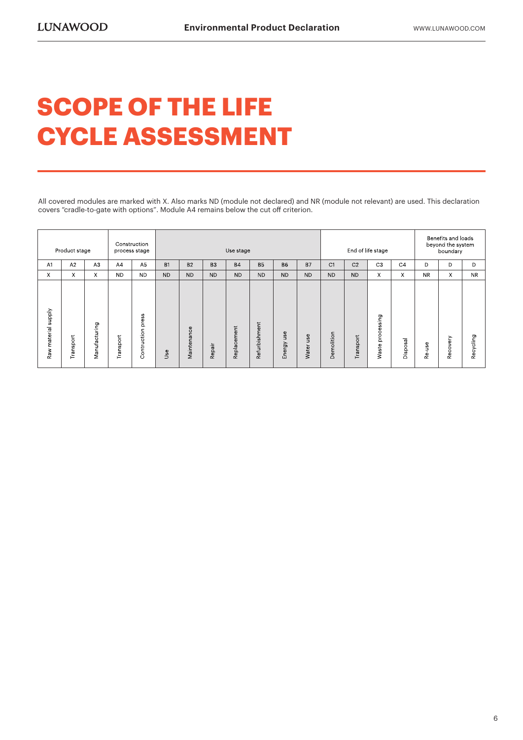### **SCOPE OF THE LIFE CYCLE ASSESSMENT**

All covered modules are marked with X. Also marks ND (module not declared) and NR (module not relevant) are used. This declaration covers "cradle-to-gate with options". Module A4 remains below the cut off criterion.

| Construction<br>Product stage<br>process stage |           |                | Use stage |                      |           |             | End of life stage |             |               |               | Benefits and loads<br>beyond the system<br>boundary |                |                |                                      |                |           |          |              |
|------------------------------------------------|-----------|----------------|-----------|----------------------|-----------|-------------|-------------------|-------------|---------------|---------------|-----------------------------------------------------|----------------|----------------|--------------------------------------|----------------|-----------|----------|--------------|
| A1                                             | A2        | A <sub>3</sub> | AA        | A <sub>5</sub>       | <b>B1</b> | <b>B2</b>   | B <sub>3</sub>    | <b>B4</b>   | <b>B5</b>     | <b>B6</b>     | <b>B7</b>                                           | C <sub>1</sub> | C <sub>2</sub> | C <sub>3</sub>                       | C <sub>4</sub> | D         | D        | D            |
| X                                              | X         | X              | <b>ND</b> | <b>ND</b>            | <b>ND</b> | <b>ND</b>   | <b>ND</b>         | <b>ND</b>   | <b>ND</b>     | <b>ND</b>     | <b>ND</b>                                           | <b>ND</b>      | <b>ND</b>      | X.                                   | X              | <b>NR</b> | X        | <b>NR</b>    |
| ylddns<br>material<br>Raw                      | Transport | Manufacturing  | Transport | press<br>Contruction | Use       | Maintenance | Repair            | Replacement | Refurbishment | use<br>Energy | 9S<br>Ë<br>Water                                    | molition<br>Й. | Transport      | essing<br>Ō<br>$\circ$<br>ă<br>Waste | Disposal       | use<br>٩è | Recovery | cling<br>Rec |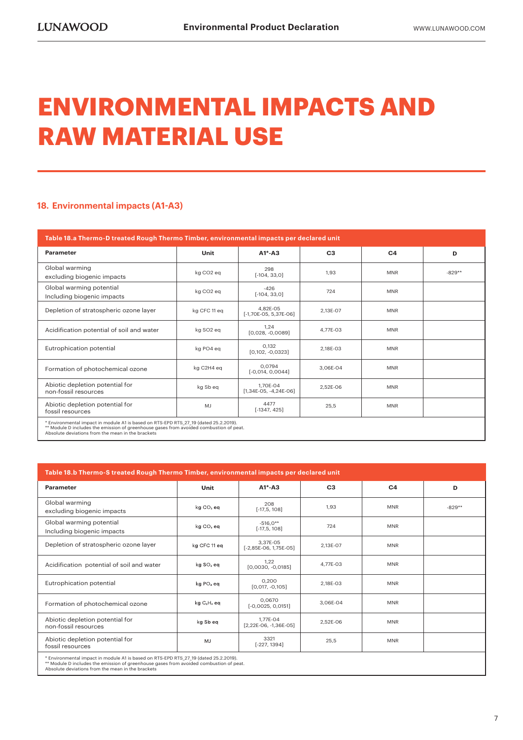### **ENVIRONMENTAL IMPACTS AND RAW MATERIAL USE**

#### **18. Environmental impacts (A1-A3)**

| Table 18.a Thermo-D treated Rough Thermo Timber, environmental impacts per declared unit |                                                                                                                                                                                |                                     |                |                |          |  |  |  |  |
|------------------------------------------------------------------------------------------|--------------------------------------------------------------------------------------------------------------------------------------------------------------------------------|-------------------------------------|----------------|----------------|----------|--|--|--|--|
| Parameter                                                                                | Unit                                                                                                                                                                           | $A1^* - A3$                         | C <sub>3</sub> | C <sub>4</sub> | D        |  |  |  |  |
| Global warming<br>excluding biogenic impacts                                             | kg CO <sub>2</sub> eq                                                                                                                                                          | 298<br>$[-104, 33, 0]$              | 1,93           | <b>MNR</b>     | $-829**$ |  |  |  |  |
| Global warming potential<br>Including biogenic impacts                                   | kg CO <sub>2</sub> eq                                                                                                                                                          | $-426$<br>$[-104, 33, 0]$           | 724            | <b>MNR</b>     |          |  |  |  |  |
| Depletion of stratospheric ozone layer                                                   | kg CFC 11 eq                                                                                                                                                                   | 4.82E-05<br>$[-1,70E-05, 5,37E-06]$ | 2,13E-07       | <b>MNR</b>     |          |  |  |  |  |
| Acidification potential of soil and water                                                | kg SO <sub>2</sub> eg                                                                                                                                                          | 1.24<br>$[0,028, -0,0089]$          | 4.77E-03       | <b>MNR</b>     |          |  |  |  |  |
| Eutrophication potential                                                                 | kg PO4 eg                                                                                                                                                                      | 0.132<br>$[0,102, -0,0323]$         | 2.18E-03       | <b>MNR</b>     |          |  |  |  |  |
| Formation of photochemical ozone                                                         | kg C2H4 eg                                                                                                                                                                     | 0.0794<br>$[-0,014, 0,0044]$        | 3.06E-04       | <b>MNR</b>     |          |  |  |  |  |
| Abiotic depletion potential for<br>non-fossil resources                                  | kg Sb eg                                                                                                                                                                       | 1.70E-04<br>$[1,34E-05, -4,24E-06]$ | 2,52E-06       | <b>MNR</b>     |          |  |  |  |  |
| Abiotic depletion potential for<br>fossil resources                                      | MJ                                                                                                                                                                             | 4477<br>$[-1347, 425]$              | 25,5           | <b>MNR</b>     |          |  |  |  |  |
|                                                                                          | * Environmental impact in module A1 is based on RTS-EPD RTS 27 19 (dated 25.2.2019).<br>** Module D includes the emission of greenhouse gases from avoided combustion of peat. |                                     |                |                |          |  |  |  |  |

Absolute deviations from the mean in the brackets

| Table 18.b Thermo-S treated Rough Thermo Timber, environmental impacts per declared unit                                                                                                                                            |                                     |                                     |                |                |          |  |  |  |  |
|-------------------------------------------------------------------------------------------------------------------------------------------------------------------------------------------------------------------------------------|-------------------------------------|-------------------------------------|----------------|----------------|----------|--|--|--|--|
| Parameter                                                                                                                                                                                                                           | Unit                                | $A1^* - A3$                         | C <sub>3</sub> | C <sub>4</sub> | D        |  |  |  |  |
| Global warming<br>excluding biogenic impacts                                                                                                                                                                                        | kg CO <sub>2</sub> eq               | 208<br>$[-17, 5, 108]$              | 1,93           | <b>MNR</b>     | $-829**$ |  |  |  |  |
| Global warming potential<br>Including biogenic impacts                                                                                                                                                                              | kg CO <sub>2</sub> eq               | $-516.0**$<br>$[-17, 5, 108]$       | 724            | <b>MNR</b>     |          |  |  |  |  |
| Depletion of stratospheric ozone layer                                                                                                                                                                                              | kg CFC 11 eq                        | 3.37E-05<br>$[-2,85E-06, 1,75E-05]$ | 2.13E-07       | <b>MNR</b>     |          |  |  |  |  |
| Acidification potential of soil and water                                                                                                                                                                                           | kg SO <sub>2</sub> eg               | 1,22<br>$[0,0030, -0,0185]$         | 4.77E-03       | <b>MNR</b>     |          |  |  |  |  |
| Eutrophication potential                                                                                                                                                                                                            | kg PO <sub>4</sub> eq               | 0.200<br>$[0.017, -0.105]$          | 2.18E-03       | <b>MNR</b>     |          |  |  |  |  |
| Formation of photochemical ozone                                                                                                                                                                                                    | kg C <sub>2</sub> H <sub>4</sub> eq | 0.0670<br>$[-0,0025, 0,0151]$       | 3.06E-04       | <b>MNR</b>     |          |  |  |  |  |
| Abiotic depletion potential for<br>non-fossil resources                                                                                                                                                                             | kg Sb eq                            | 1.77E-04<br>$[2,22E-06, -1,36E-05]$ | 2,52E-06       | <b>MNR</b>     |          |  |  |  |  |
| Abiotic depletion potential for<br>fossil resources                                                                                                                                                                                 | MJ                                  | 3321<br>$[-227, 1394]$              | 25,5           | <b>MNR</b>     |          |  |  |  |  |
| * Environmental impact in module A1 is based on RTS-EPD RTS 27 19 (dated 25.2.2019).<br>** Module D includes the emission of greenhouse gases from avoided combustion of peat.<br>Absolute deviations from the mean in the brackets |                                     |                                     |                |                |          |  |  |  |  |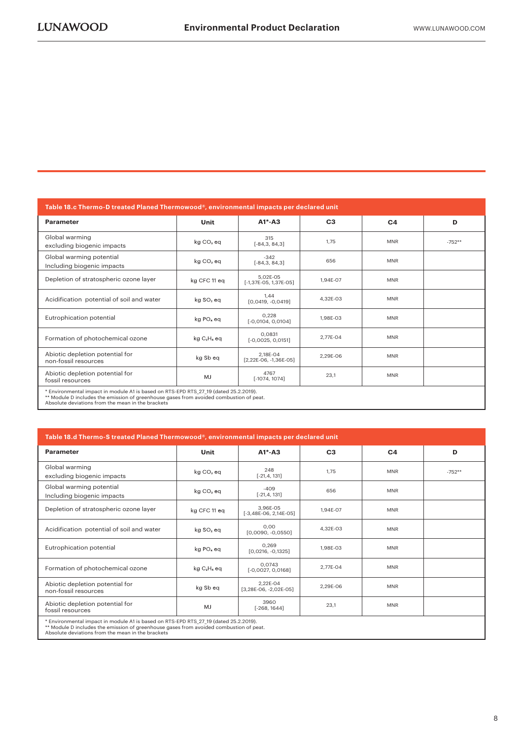| Table 18.c Thermo-D treated Planed Thermowood®, environmental impacts per declared unit                                                                                                                                             |                       |                                     |                |                |          |  |  |  |  |
|-------------------------------------------------------------------------------------------------------------------------------------------------------------------------------------------------------------------------------------|-----------------------|-------------------------------------|----------------|----------------|----------|--|--|--|--|
| Parameter                                                                                                                                                                                                                           | Unit                  | $A1^* - A3$                         | C <sub>3</sub> | C <sub>4</sub> | D        |  |  |  |  |
| Global warming<br>excluding biogenic impacts                                                                                                                                                                                        | kg CO <sub>2</sub> eq | 315<br>$[-84,3,84,3]$               | 1,75           | <b>MNR</b>     | $-752**$ |  |  |  |  |
| Global warming potential<br>Including biogenic impacts                                                                                                                                                                              | kg CO <sub>2</sub> eq | $-342$<br>$[-84,3,84,3]$            | 656            | <b>MNR</b>     |          |  |  |  |  |
| Depletion of stratospheric ozone layer                                                                                                                                                                                              | kg CFC 11 eq          | 5.02E-05<br>$[-1,37E-05, 1,37E-05]$ | 1.94E-07       | <b>MNR</b>     |          |  |  |  |  |
| Acidification potential of soil and water                                                                                                                                                                                           | kg SO <sub>2</sub> eq | 1,44<br>$[0,0419, -0,0419]$         | 4,32E-03       | <b>MNR</b>     |          |  |  |  |  |
| Eutrophication potential                                                                                                                                                                                                            | kg PO <sub>4</sub> eq | 0,228<br>$[-0,0104, 0,0104]$        | 1,98E-03       | <b>MNR</b>     |          |  |  |  |  |
| Formation of photochemical ozone                                                                                                                                                                                                    | $kgC2H4$ eq           | 0.0831<br>$[-0,0025, 0,0151]$       | 2.77E-04       | <b>MNR</b>     |          |  |  |  |  |
| Abiotic depletion potential for<br>non-fossil resources                                                                                                                                                                             | kg Sb eq              | 2.18E-04<br>$[2,22E-06, -1,36E-05]$ | 2.29E-06       | <b>MNR</b>     |          |  |  |  |  |
| Abiotic depletion potential for<br>fossil resources                                                                                                                                                                                 | MJ                    | 4767<br>$[-1074, 1074]$             | 23,1           | <b>MNR</b>     |          |  |  |  |  |
| * Environmental impact in module A1 is based on RTS-EPD RTS 27 19 (dated 25.2.2019).<br>** Module D includes the emission of greenhouse gases from avoided combustion of peat.<br>Absolute deviations from the mean in the brackets |                       |                                     |                |                |          |  |  |  |  |

| Table 18.d Thermo-S treated Planed Thermowood®, environmental impacts per declared unit                                                                                                                                             |                       |                                     |                |                |          |  |  |  |  |
|-------------------------------------------------------------------------------------------------------------------------------------------------------------------------------------------------------------------------------------|-----------------------|-------------------------------------|----------------|----------------|----------|--|--|--|--|
| Parameter                                                                                                                                                                                                                           | Unit                  | $A1*-A3$                            | C <sub>3</sub> | C <sub>4</sub> | D        |  |  |  |  |
| Global warming<br>excluding biogenic impacts                                                                                                                                                                                        | kg CO <sub>2</sub> eq | 248<br>$[-21, 4, 131]$              | 1.75           | <b>MNR</b>     | $-752**$ |  |  |  |  |
| Global warming potential<br>Including biogenic impacts                                                                                                                                                                              | $kg CO2$ eq           | $-409$<br>$[-21, 4, 131]$           | 656            | <b>MNR</b>     |          |  |  |  |  |
| Depletion of stratospheric ozone layer                                                                                                                                                                                              | kg CFC 11 eq          | 3.96E-05<br>$[-3,48E-06, 2,14E-05]$ | 1.94E-07       | <b>MNR</b>     |          |  |  |  |  |
| Acidification potential of soil and water                                                                                                                                                                                           | kg SO <sub>2</sub> eq | 0.00<br>$[0,0090, -0,0550]$         | 4.32E-03       | <b>MNR</b>     |          |  |  |  |  |
| Eutrophication potential                                                                                                                                                                                                            | kg PO <sub>4</sub> eq | 0.269<br>$[0,0216, -0,1325]$        | 1.98E-03       | <b>MNR</b>     |          |  |  |  |  |
| Formation of photochemical ozone                                                                                                                                                                                                    | $kgC2H4$ eq           | 0.0743<br>$[-0,0027, 0,0168]$       | 2.77E-04       | <b>MNR</b>     |          |  |  |  |  |
| Abiotic depletion potential for<br>non-fossil resources                                                                                                                                                                             | kg Sb eq              | 2.22E-04<br>[3,28E-06, -2,02E-05]   | 2.29E-06       | <b>MNR</b>     |          |  |  |  |  |
| Abiotic depletion potential for<br>fossil resources                                                                                                                                                                                 | MJ                    | 3960<br>$[-268, 1644]$              | 23,1           | <b>MNR</b>     |          |  |  |  |  |
| * Environmental impact in module A1 is based on RTS-EPD RTS 27 19 (dated 25.2.2019).<br>** Module D includes the emission of greenhouse gases from avoided combustion of peat.<br>Absolute deviations from the mean in the brackets |                       |                                     |                |                |          |  |  |  |  |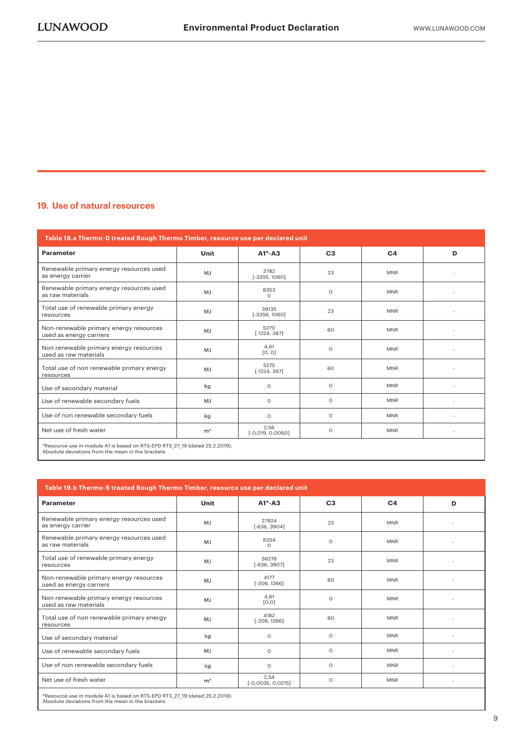#### **19. Use of natural resources**

| Table 19.a Thermo-D treated Rough Thermo Timber, resource use per declared unit                                                  |                |                            |                |                |   |  |  |  |  |
|----------------------------------------------------------------------------------------------------------------------------------|----------------|----------------------------|----------------|----------------|---|--|--|--|--|
| <b>Parameter</b>                                                                                                                 | Unit           | $A1*-A3$                   | C <sub>3</sub> | C <sub>4</sub> | D |  |  |  |  |
| Renewable primary energy resources used<br>as energy carrier                                                                     | <b>MJ</b>      | 3782<br>$[-3355, 1060]$    | 23             | <b>MNR</b>     |   |  |  |  |  |
| Renewable primary energy resources used<br>as raw materials                                                                      | MJ             | 8353<br>$\Omega$           | $\Omega$       | <b>MNR</b>     |   |  |  |  |  |
| Total use of renewable primary energy<br>resources                                                                               | MJ             | 39135<br>$[-3356, 1060]$   | 23             | <b>MNR</b>     |   |  |  |  |  |
| Non-renewable primary energy resources<br>used as energy carriers                                                                | <b>MJ</b>      | 5270<br>$[-1224, 387]$     | 60             | <b>MNR</b>     |   |  |  |  |  |
| Non renewable primary energy resources<br>used as raw materials                                                                  | MJ             | 4,61<br>[0, 0]             | $\circ$        | <b>MNR</b>     |   |  |  |  |  |
| Total use of non renewable primary energy<br>resources                                                                           | MJ             | 5275<br>$[-1224, 387]$     | 60             | <b>MNR</b>     |   |  |  |  |  |
| Use of secondary material                                                                                                        | kg             | $\circ$                    | $\Omega$       | <b>MNR</b>     |   |  |  |  |  |
| Use of renewable secondary fuels                                                                                                 | MJ             | $\circ$                    | $\circ$        | <b>MNR</b>     |   |  |  |  |  |
| Use of non renewable secondary fuels                                                                                             | kg             | $\Omega$                   | $\Omega$       | <b>MNR</b>     |   |  |  |  |  |
| Net use of fresh water                                                                                                           | m <sup>3</sup> | 2,56<br>$[-0,019, 0,0060]$ | $\circ$        | <b>MNR</b>     |   |  |  |  |  |
| *Resource use in module A1 is based on RTS-EPD RTS 27 19 (dated 25.2.2019).<br>Absolute deviations from the mean in the brackets |                |                            |                |                |   |  |  |  |  |

| Table 19.b Thermo-S treated Rough Thermo Timber, resource use per declared unit |                |                             |                |                |   |  |  |  |  |
|---------------------------------------------------------------------------------|----------------|-----------------------------|----------------|----------------|---|--|--|--|--|
| Parameter                                                                       | Unit           | $A1^* - A3$                 | C <sub>3</sub> | C <sub>4</sub> | D |  |  |  |  |
| Renewable primary energy resources used<br>as energy carrier                    | MJ             | 27924<br>$[-636, 3904]$     | 23             | <b>MNR</b>     | ٠ |  |  |  |  |
| Renewable primary energy resources used<br>as raw materials                     | MJ             | 8354<br>$\Omega$            | $\circ$        | <b>MNR</b>     |   |  |  |  |  |
| Total use of renewable primary energy<br>resources                              | <b>MJ</b>      | 36278<br>$[-636, 3907]$     | 23             | <b>MNR</b>     |   |  |  |  |  |
| Non-renewable primary energy resources<br>used as energy carriers               | <b>MJ</b>      | 4177<br>$[-206, 1266]$      | 60             | <b>MNR</b>     |   |  |  |  |  |
| Non renewable primary energy resources<br>used as raw materials                 | MJ             | 4.61<br>[0,0]               | $\Omega$       | <b>MNR</b>     |   |  |  |  |  |
| Total use of non renewable primary energy<br>resources                          | MJ             | 4182<br>$[-206, 1266]$      | 60             | <b>MNR</b>     |   |  |  |  |  |
| Use of secondary material                                                       | kg             | $\circ$                     | $\circ$        | <b>MNR</b>     |   |  |  |  |  |
| Use of renewable secondary fuels                                                | <b>MJ</b>      | $\circ$                     | $\circ$        | <b>MNR</b>     |   |  |  |  |  |
| Use of non renewable secondary fuels                                            | kg             | $\circ$                     | $\circ$        | <b>MNR</b>     |   |  |  |  |  |
| Net use of fresh water                                                          | m <sup>3</sup> | 2,54<br>$[-0,0035, 0,0215]$ | $\Omega$       | <b>MNR</b>     | ٠ |  |  |  |  |

\*Resource use in module A1 is based on RTS-EPD RTS\_27\_19 (dated 25.2.2019). Absolute deviations from the mean in the brackets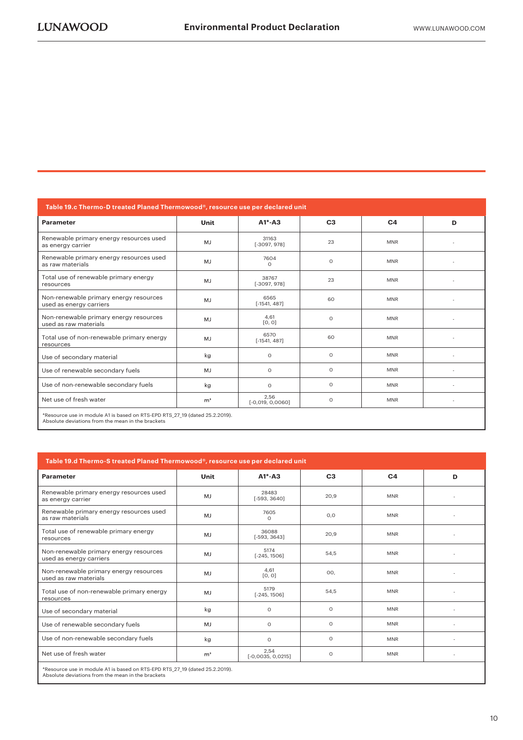| Table 19.c Thermo-D treated Planed Thermowood®, resource use per declared unit                                                   |                |                            |                |                |   |
|----------------------------------------------------------------------------------------------------------------------------------|----------------|----------------------------|----------------|----------------|---|
| Parameter                                                                                                                        | Unit           | $A1*-A3$                   | C <sub>3</sub> | C <sub>4</sub> | D |
| Renewable primary energy resources used<br>as energy carrier                                                                     | MJ             | 31163<br>$[-3097, 978]$    | 23             | <b>MNR</b>     |   |
| Renewable primary energy resources used<br>as raw materials                                                                      | <b>MJ</b>      | 7604<br>$\circ$            | $\circ$        | <b>MNR</b>     |   |
| Total use of renewable primary energy<br>resources                                                                               | MJ             | 38767<br>$[-3097, 978]$    | 23             | <b>MNR</b>     |   |
| Non-renewable primary energy resources<br>used as energy carriers                                                                | MJ             | 6565<br>$[-1541, 487]$     | 60             | <b>MNR</b>     |   |
| Non-renewable primary energy resources<br>used as raw materials                                                                  | MJ             | 4.61<br>[0, 0]             | $\Omega$       | <b>MNR</b>     |   |
| Total use of non-renewable primary energy<br>resources                                                                           | MJ             | 6570<br>$[-1541, 487]$     | 60             | <b>MNR</b>     |   |
| Use of secondary material                                                                                                        | kg             | $\circ$                    | $\Omega$       | <b>MNR</b>     |   |
| Use of renewable secondary fuels                                                                                                 | MJ             | $\circ$                    | $\circ$        | <b>MNR</b>     |   |
| Use of non-renewable secondary fuels                                                                                             | kg             | $\Omega$                   | $\circ$        | <b>MNR</b>     |   |
| Net use of fresh water                                                                                                           | m <sup>3</sup> | 2,56<br>$[-0,019, 0,0060]$ | $\circ$        | <b>MNR</b>     | ٠ |
| *Resource use in module A1 is based on RTS-EPD RTS 27 19 (dated 25.2.2019).<br>Absolute deviations from the mean in the brackets |                |                            |                |                |   |

| Table 19.d Thermo-S treated Planed Thermowood®, resource use per declared unit |                |                             |                |                |   |
|--------------------------------------------------------------------------------|----------------|-----------------------------|----------------|----------------|---|
| Parameter                                                                      | Unit           | $A1*-A3$                    | C <sub>3</sub> | C <sub>4</sub> | D |
| Renewable primary energy resources used<br>as energy carrier                   | MJ             | 28483<br>$[-593, 3640]$     | 20.9           | <b>MNR</b>     |   |
| Renewable primary energy resources used<br>as raw materials                    | MJ             | 7605<br>$\Omega$            | O, O           | <b>MNR</b>     |   |
| Total use of renewable primary energy<br>resources                             | <b>MJ</b>      | 36088<br>$[-593, 3643]$     | 20,9           | <b>MNR</b>     |   |
| Non-renewable primary energy resources<br>used as energy carriers              | MJ             | 5174<br>$[-245, 1506]$      | 54,5           | <b>MNR</b>     |   |
| Non-renewable primary energy resources<br>used as raw materials                | <b>MJ</b>      | 4.61<br>[0, 0]              | 00,            | <b>MNR</b>     |   |
| Total use of non-renewable primary energy<br>resources                         | MJ             | 5179<br>$[-245, 1506]$      | 54,5           | <b>MNR</b>     |   |
| Use of secondary material                                                      | kg             | $\circ$                     | $\circ$        | <b>MNR</b>     |   |
| Use of renewable secondary fuels                                               | MJ             | $\circ$                     | $\circ$        | <b>MNR</b>     |   |
| Use of non-renewable secondary fuels                                           | kg             | $\circ$                     | $\Omega$       | <b>MNR</b>     |   |
| Net use of fresh water                                                         | m <sup>3</sup> | 2,54<br>$[-0,0035, 0,0215]$ | $\circ$        | <b>MNR</b>     | ٠ |
| *Resource use in module 41 is based on RTS-FPD RTS 27 19 (dated 25 2 2019)     |                |                             |                |                |   |

\*Resource use in module A1 is based on RTS-EPD RTS\_27\_19 (dated 25.2.2019). Absolute deviations from the mean in the brackets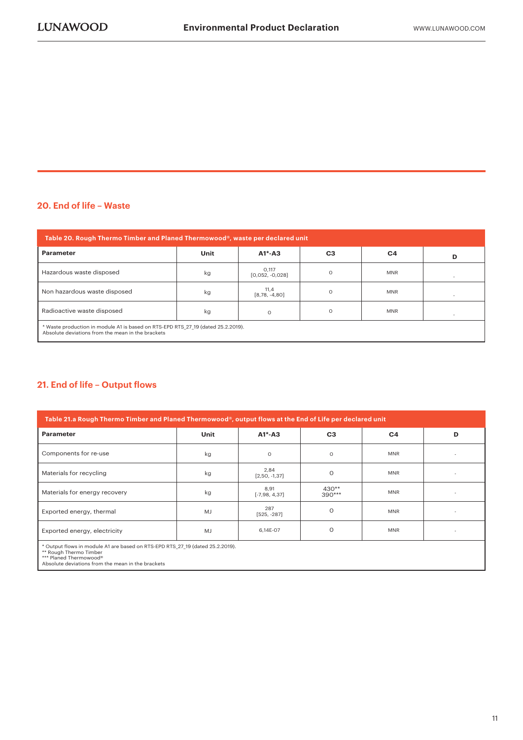#### **20. End of life – Waste**

| Table 20. Rough Thermo Timber and Planed Thermowood®, waste per declared unit                                                         |      |                            |                |                |   |
|---------------------------------------------------------------------------------------------------------------------------------------|------|----------------------------|----------------|----------------|---|
| <b>Parameter</b>                                                                                                                      | Unit | $A1^* - A3$                | C <sub>3</sub> | C <sub>4</sub> | D |
| Hazardous waste disposed                                                                                                              | kg   | 0,117<br>$[0,052, -0,028]$ | $\Omega$       | <b>MNR</b>     |   |
| Non hazardous waste disposed                                                                                                          | kg   | 11,4<br>$[8,78, -4,80]$    | $\Omega$       | <b>MNR</b>     |   |
| Radioactive waste disposed                                                                                                            | kg   | $\circ$                    | $\Omega$       | <b>MNR</b>     |   |
| * Waste production in module A1 is based on RTS-EPD RTS 27 19 (dated 25.2.2019).<br>Absolute deviations from the mean in the brackets |      |                            |                |                |   |

#### **21. End of life – Output flows**

| Table 21.a Rough Thermo Timber and Planed Thermowood®, output flows at the End of Life per declared unit |             |                         |                     |            |   |
|----------------------------------------------------------------------------------------------------------|-------------|-------------------------|---------------------|------------|---|
| Parameter                                                                                                | <b>Unit</b> | $A1^* - A3$             | C <sub>3</sub>      | C4         | D |
| Components for re-use                                                                                    | kg          | $\circ$                 | $\Omega$            | <b>MNR</b> |   |
| Materials for recycling                                                                                  | kg          | 2,84<br>$[2,50, -1,37]$ | $\Omega$            | <b>MNR</b> |   |
| Materials for energy recovery                                                                            | kg          | 8,91<br>$[-7,98, 4,37]$ | $430**$<br>$390***$ | <b>MNR</b> |   |
| Exported energy, thermal                                                                                 | MJ          | 287<br>$[525, -287]$    | $\Omega$            | <b>MNR</b> |   |
| Exported energy, electricity                                                                             | MJ          | 6,14E-07                | $\Omega$            | <b>MNR</b> |   |
| * Output flows in module A1 are based on RTS-EPD RTS 27 19 (dated 25.2.2019).<br>** Rough Thermo Timber  |             |                         |                     |            |   |

\*\* Rough Thermo Timber \*\*\* Planed Thermowood® Absolute deviations from the mean in the brackets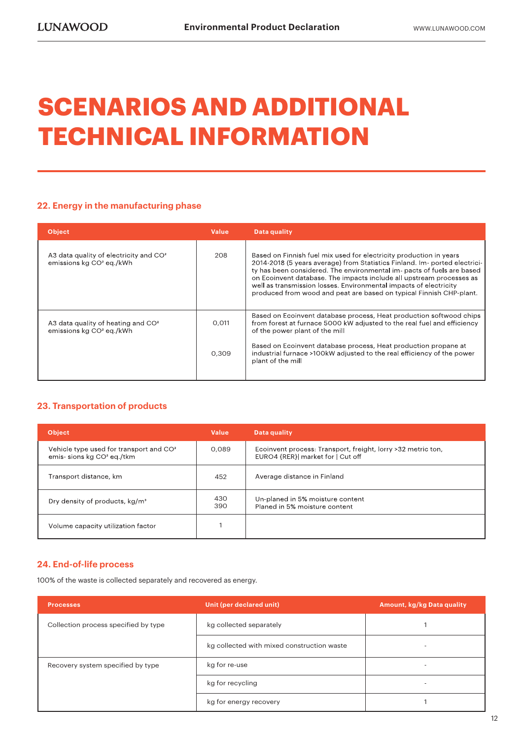## **SCENARIOS AND ADDITIONAL TECHNICAL INFORMATION**

#### **22. Energy in the manufacturing phase**

| <b>Object</b>                                                                    | <b>Value</b> | Data quality                                                                                                                                                                                                                                                                                                                                                                                                                                   |
|----------------------------------------------------------------------------------|--------------|------------------------------------------------------------------------------------------------------------------------------------------------------------------------------------------------------------------------------------------------------------------------------------------------------------------------------------------------------------------------------------------------------------------------------------------------|
| A3 data quality of electricity and $CO2$<br>emissions kg CO <sup>2</sup> eg./kWh | 208          | Based on Finnish fuel mix used for electricity production in years<br>2014-2018 (5 years average) from Statistics Finland. Im- ported electrici-<br>ty has been considered. The environmental im- pacts of fuels are based<br>on Ecoinvent database. The impacts include all upstream processes as<br>well as transmission losses. Environmental impacts of electricity<br>produced from wood and peat are based on typical Finnish CHP-plant. |
| A3 data quality of heating and $CO2$<br>emissions kg CO <sup>2</sup> eg./kWh     | 0.011        | Based on Ecoinvent database process, Heat production softwood chips<br>from forest at furnace 5000 kW adjusted to the real fuel and efficiency<br>of the power plant of the mill                                                                                                                                                                                                                                                               |
|                                                                                  | 0.309        | Based on Ecoinvent database process, Heat production propane at<br>industrial furnace >100kW adjusted to the real efficiency of the power<br>plant of the mill                                                                                                                                                                                                                                                                                 |

#### **23. Transportation of products**

| <b>Object</b>                                                                                | Value      | Data quality                                                                                      |
|----------------------------------------------------------------------------------------------|------------|---------------------------------------------------------------------------------------------------|
| Vehicle type used for transport and CO <sup>2</sup><br>emis-sions kg CO <sup>2</sup> eg./tkm | 0.089      | Ecoinvent process: Transport, freight, lorry >32 metric ton,<br>EURO4 {RER}  market for   Cut off |
| Transport distance, km                                                                       | 452        | Average distance in Finland                                                                       |
| Dry density of products, kg/m <sup>3</sup>                                                   | 430<br>390 | Un-planed in 5% moisture content<br>Planed in 5% moisture content                                 |
| Volume capacity utilization factor                                                           |            |                                                                                                   |

#### **24. End-of-life process**

100% of the waste is collected separately and recovered as energy.

| <b>Processes</b>                     | Unit (per declared unit)                   | Amount, kg/kg Data quality |
|--------------------------------------|--------------------------------------------|----------------------------|
| Collection process specified by type | kg collected separately                    |                            |
|                                      | kg collected with mixed construction waste |                            |
| Recovery system specified by type    | kg for re-use                              |                            |
|                                      | kg for recycling                           |                            |
|                                      | kg for energy recovery                     |                            |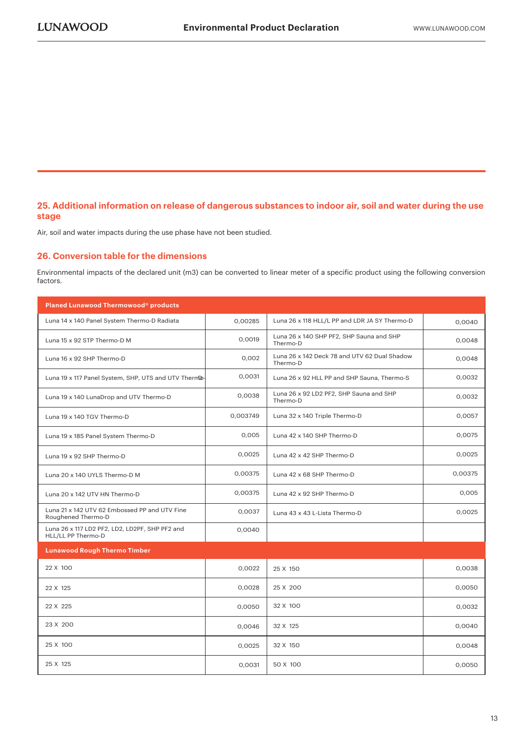#### **25. Additional information on release of dangerous substances to indoor air, soil and water during the use stage**

Air, soil and water impacts during the use phase have not been studied.

#### **26. Conversion table for the dimensions**

Environmental impacts of the declared unit (m3) can be converted to linear meter of a specific product using the following conversion factors.

| Planed Lunawood Thermowood® products                                 |          |                                                          |         |
|----------------------------------------------------------------------|----------|----------------------------------------------------------|---------|
| Luna 14 x 140 Panel System Thermo-D Radiata                          | 0.00285  | Luna 26 x 118 HLL/L PP and LDR JA SY Thermo-D            | 0.0040  |
| Luna 15 x 92 STP Thermo-D M                                          | 0,0019   | Luna 26 x 140 SHP PF2, SHP Sauna and SHP<br>Thermo-D     | 0,0048  |
| Luna 16 x 92 SHP Thermo-D                                            | 0,002    | Luna 26 x 142 Deck 78 and UTV 62 Dual Shadow<br>Thermo-D | 0,0048  |
| Luna 19 x 117 Panel System, SHP, UTS and UTV ThermDo-                | 0,0031   | Luna 26 x 92 HLL PP and SHP Sauna, Thermo-S              | 0,0032  |
| Luna 19 x 140 LunaDrop and UTV Thermo-D                              | 0,0038   | Luna 26 x 92 LD2 PF2, SHP Sauna and SHP<br>Thermo-D      | 0,0032  |
| Luna 19 x 140 TGV Thermo-D                                           | 0,003749 | Luna 32 x 140 Triple Thermo-D                            | 0,0057  |
| Luna 19 x 185 Panel System Thermo-D                                  | 0,005    | Luna 42 x 140 SHP Thermo-D                               | 0.0075  |
| Luna 19 x 92 SHP Thermo-D                                            | 0,0025   | Luna 42 x 42 SHP Thermo-D                                | 0,0025  |
| Luna 20 x 140 UYLS Thermo-D M                                        | 0,00375  | Luna 42 x 68 SHP Thermo-D                                | 0,00375 |
| Luna 20 x 142 UTV HN Thermo-D                                        | 0,00375  | Luna 42 x 92 SHP Thermo-D                                | 0,005   |
| Luna 21 x 142 UTV 62 Embossed PP and UTV Fine<br>Roughened Thermo-D  | 0,0037   | Luna 43 x 43 L-Lista Thermo-D                            | 0,0025  |
| Luna 26 x 117 LD2 PF2, LD2, LD2PF, SHP PF2 and<br>HLL/LL PP Thermo-D | 0,0040   |                                                          |         |
| <b>Lunawood Rough Thermo Timber</b>                                  |          |                                                          |         |
| 22 X 100                                                             | 0,0022   | 25 X 150                                                 | 0,0038  |
| 22 X 125                                                             | 0,0028   | 25 X 200                                                 | 0,0050  |
| 22 X 225                                                             | 0,0050   | 32 X 100                                                 | 0,0032  |
| 23 X 200                                                             | 0,0046   | 32 X 125                                                 | 0,0040  |
| 25 X 100                                                             | 0,0025   | 32 X 150                                                 | 0,0048  |
| 25 X 125                                                             | 0,0031   | 50 X 100                                                 | 0,0050  |